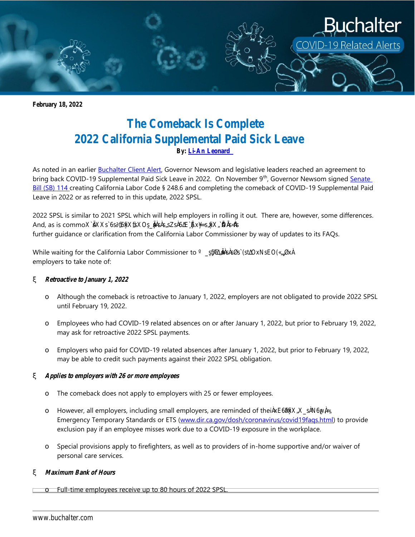

**February 18, 2022**

# **The Comeback Is Complete 2022 California Supplemental Paid Sick Leave By[: Li-An](https://www.buchalter.com/attorneys/john-epperson/#bio) Leonard**

As noted in an earlier [Buchalter Client Alert,](https://www.buchalter.com/publication/buchalter-covid-19-client-alert-californias-covid-19-supplemental-paid-sick-leave-returns/) Governor Newsom and legislative leaders reached an agreement to bring back COVID-19 Supplemental Paid Sick Leave in 2022. On November 9<sup>th</sup>, Governor Newsom signed Senate [Bill \(SB\)](https://leginfo.legislature.ca.gov/faces/billNavClient.xhtml?bill_id=202120220SB114) 114 creating California Labor Code § 248.6 and completing the comeback of COVID-19 Supplemental Paid Leave in 2022 or as referred to in this update, 2022 SPSL.

2022 SPSL is similar to 2021 SPSL which will help employers in rolling it out. There are, however, some differences. And, as is commo further guidance or clarification from the California Labor Commissioner by way of updates to its FAQs.

While waiting for the California Labor Commissioner to employers to take note of:

# **Retroactive to January 1, 2022**

Although the comeback is retroactive to January 1, 2022, employers are not obligated to provide 2022 SPSL until February 19, 2022.

Employees who had COVID-19 related absences on or after January 1, 2022, but prior to February 19, 2022, may ask for retroactive 2022 SPSL payments.

Employers who paid for COVID-19 related absences after January 1, 2022, but prior to February 19, 2022, may be able to credit such payments against their 2022 SPSL obligation.

# **Applies to employers with 26 or more employees**

The comeback does not apply to employers with 25 or fewer employees.

However, all employers, including small employers, are reminded of thei Emergency Temporary Standards or ETS [\(www.dir.ca.gov/dosh/coronavirus/covid19faqs.html\)](http://www.dir.ca.gov/dosh/coronavirus/covid19faqs.html) to provide exclusion pay if an employee misses work due to a COVID-19 exposure in the workplace.

Special provisions apply to firefighters, as well as to providers of in-home supportive and/or waiver of personal care services.

# **Maximum Bank of Hours**

Full-time employees receive up to 80 hours of 2022 SPSL.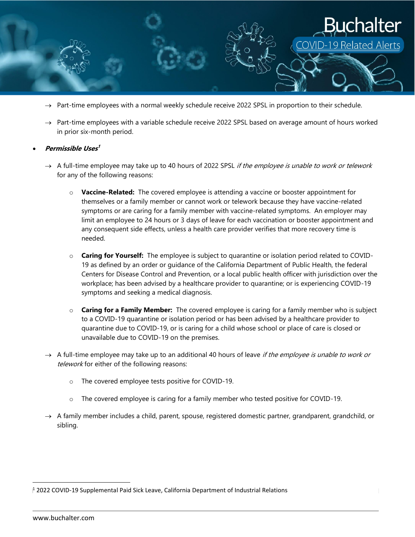

- $\rightarrow$  Part-time employees with a normal weekly schedule receive 2022 SPSL in proportion to their schedule.
- $\rightarrow$  Part-time employees with a variable schedule receive 2022 SPSL based on average amount of hours worked in prior six-month period.

#### **Permissible Uses 1**

- $\rightarrow$  A full-time employee may take up to 40 hours of 2022 SPSL *if the employee is unable to work or telework* for any of the following reasons:
	- o **Vaccine-Related:** The covered employee is attending a vaccine or booster appointment for themselves or a family member or cannot work or telework because they have vaccine-related symptoms or are caring for a family member with vaccine-related symptoms. An employer may limit an employee to 24 hours or 3 days of leave for each vaccination or booster appointment and any consequent side effects, unless a health care provider verifies that more recovery time is needed.
	- o **Caring for Yourself:** The employee is subject to quarantine or isolation period related to COVID-19 as defined by an order or guidance of the California Department of Public Health, the federal Centers for Disease Control and Prevention, or a local public health officer with jurisdiction over the workplace; has been advised by a healthcare provider to quarantine; or is experiencing COVID-19 symptoms and seeking a medical diagnosis.
	- o **Caring for a Family Member:** The covered employee is caring for a family member who is subject to a COVID-19 quarantine or isolation period or has been advised by a healthcare provider to quarantine due to COVID-19, or is caring for a child whose school or place of care is closed or unavailable due to COVID-19 on the premises.
- $\rightarrow$  A full-time employee may take up to an additional 40 hours of leave *if the employee is unable to work or* telework for either of the following reasons:
	- o The covered employee tests positive for COVID-19.
	- o The covered employee is caring for a family member who tested positive for COVID-19.
- $\rightarrow$  A family member includes a child, parent, spouse, registered domestic partner, grandparent, grandchild, or sibling.

<sup>1</sup> 2022 COVID-19 Supplemental Paid Sick Leave, California Department of Industrial Relations